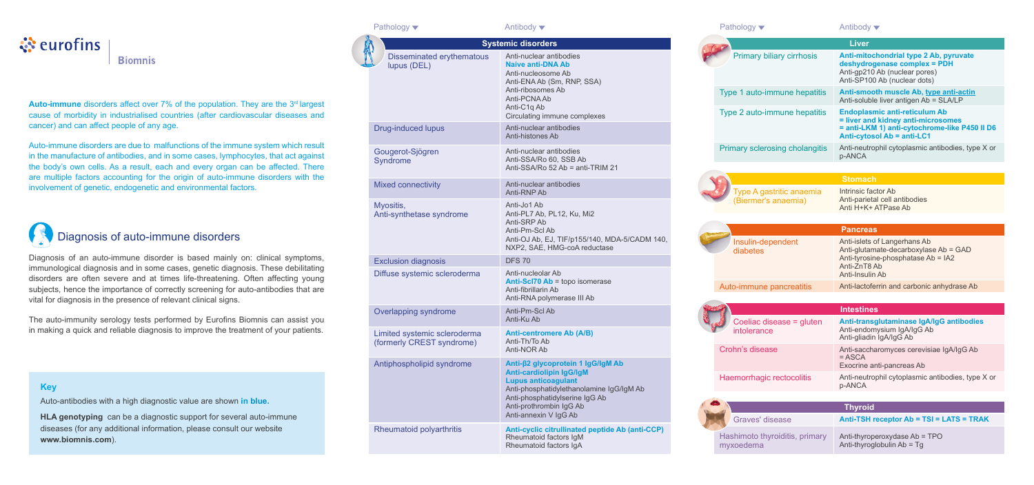# े**ं** eurofins

**Biomnis** 

**Auto-immune** disorders affect over 7% of the population. They are the 3<sup>rd</sup> largest cause of morbidity in industrialised countries (after cardiovascular diseases and cancer) and can affect people of any age.

| Pathology ▼                                               | Antibody $\blacktriangledown$                                                                             | Pathology ▼                                                    | Antibody                                                 |
|-----------------------------------------------------------|-----------------------------------------------------------------------------------------------------------|----------------------------------------------------------------|----------------------------------------------------------|
|                                                           | <b>Systemic disorders</b>                                                                                 |                                                                | <b>Liver</b>                                             |
| <b>Disseminated erythematous</b><br>lupus (DEL)           | Anti-nuclear antibodies<br><b>Naive anti-DNA Ab</b><br>Anti-nucleosome Ab<br>Anti-ENA Ab (Sm, RNP, SSA)   | Primary biliary cirrhosis                                      | <b>Anti-mitor</b><br>deshydro<br>Anti-gp210<br>Anti-SP10 |
|                                                           | Anti-ribosomes Ab<br>Anti-PCNA Ab<br>Anti-C1q Ab                                                          | Type 1 auto-immune hepatitis<br>Type 2 auto-immune hepatitis   | <b>Anti-smod</b><br>Anti-solubl<br><b>Endoplas</b>       |
| <b>Drug-induced lupus</b>                                 | Circulating immune complexes<br>Anti-nuclear antibodies<br>Anti-histones Ab                               |                                                                | = liver and<br>$=$ anti-LKI<br><b>Anti-cytos</b>         |
| Gougerot-Sjögren<br>Syndrome                              | Anti-nuclear antibodies<br>Anti-SSA/Ro 60, SSB Ab<br>Anti-SSA/Ro 52 Ab = anti-TRIM 21                     | Primary sclerosing cholangitis                                 | Anti-neutro<br>p-ANCA                                    |
|                                                           |                                                                                                           |                                                                | <b>Stomacl</b>                                           |
| <b>Mixed connectivity</b>                                 | Anti-nuclear antibodies<br>Anti-RNP Ab                                                                    | Type A gastritic anaemia<br>(Biermer's anaemia)                | Intrinsic fa<br>Anti-pariet                              |
| Myositis,<br>Anti-synthetase syndrome                     | Anti-Jo1 Ab<br>Anti-PL7 Ab, PL12, Ku, Mi2<br>Anti-SRP Ab                                                  |                                                                | Anti H+K+                                                |
|                                                           | Anti-Pm-Scl Ab                                                                                            |                                                                | <b>Pancrea</b>                                           |
|                                                           | Anti-OJ Ab, EJ, TIF/p155/140, MDA-5/CADM 140,<br>NXP2, SAE, HMG-coA reductase                             | Insulin-dependent<br>diabetes                                  | Anti-islets<br>Anti-glutar                               |
| <b>Exclusion diagnosis</b>                                | <b>DFS 70</b>                                                                                             |                                                                | Anti-tyrosi<br>Anti-ZnT8                                 |
| Diffuse systemic scleroderma                              | Anti-nucleolar Ab                                                                                         |                                                                | Anti-Insulii                                             |
|                                                           | Anti-Scl70 Ab = topo isomerase<br>Anti-fibrillarin Ab<br>Anti-RNA polymerase III Ab                       | Auto-immune pancreatitis                                       | Anti-lactof                                              |
| Overlapping syndrome                                      | Anti-Pm-Scl Ab                                                                                            |                                                                | <b>Intestine</b>                                         |
| Limited systemic scleroderma<br>(formerly CREST syndrome) | Anti-Ku Ab<br><b>Anti-centromere Ab (A/B)</b><br>Anti-Th/To Ab                                            | Coeliac disease = gluten<br>intolerance                        | <b>Anti-trans</b><br>Anti-endor<br>Anti-gliadir          |
| Antiphospholipid syndrome                                 | Anti-NOR Ab<br>Anti-β2 glycoprotein 1 lgG/lgM Ab                                                          | Crohn's disease                                                | Anti-sacch<br>$= ASCA$<br>Exocrine a                     |
|                                                           | <b>Anti-cardiolipin IgG/IgM</b><br><b>Lupus anticoagulant</b><br>Anti-phosphatidylethanolamine IgG/IgM Ab | Haemorrhagic rectocolitis                                      | Anti-neutro<br>p-ANCA                                    |
|                                                           | Anti-phosphatidylserine IgG Ab<br>Anti-prothrombin IgG Ab<br>Anti-annexin V IgG Ab                        |                                                                | <b>Thyroid</b>                                           |
| Rheumatoid polyarthritis                                  | Anti-cyclic citrullinated peptide Ab (anti-CCP)<br>Rheumatoid factors IgM<br>Rheumatoid factors IgA       | Graves' disease<br>Hashimoto thyroiditis, primary<br>myxoedema | <b>Anti-TSH</b><br>Anti-thyrop<br>Anti-thyrog            |

| hology |  |  |
|--------|--|--|

Anti-thyroglobulin Ab = Tg

### **Key**

Auto-antibodies with a high diagnostic value are shown **in blue.**

**HLA genotyping** can be a diagnostic support for several auto-immune diseases (for any additional information, please consult our website **www.biomnis.com**).

Auto-immune disorders are due to malfunctions of the immune system which result in the manufacture of antibodies, and in some cases, lymphocytes, that act against the body's own cells. As a result, each and every organ can be affected. There are multiple factors accounting for the origin of auto-immune disorders with the involvement of genetic, endogenetic and environmental factors.



|                                                 | Liver                                                                                                                                                     |
|-------------------------------------------------|-----------------------------------------------------------------------------------------------------------------------------------------------------------|
| Primary biliary cirrhosis                       | Anti-mitochondrial type 2 Ab, pyruvate<br>deshydrogenase complex = PDH<br>Anti-gp210 Ab (nuclear pores)<br>Anti-SP100 Ab (nuclear dots)                   |
| Type 1 auto-immune hepatitis                    | Anti-smooth muscle Ab, type anti-actin<br>Anti-soluble liver antigen Ab = SLA/LP                                                                          |
| Type 2 auto-immune hepatitis                    | <b>Endoplasmic anti-reticulum Ab</b><br>= liver and kidney anti-microsomes<br>= anti-LKM 1) anti-cytochrome-like P450 II D6<br>Anti-cytosol Ab = anti-LC1 |
| <b>Primary sclerosing cholangitis</b>           | Anti-neutrophil cytoplasmic antibodies, type X or<br>p-ANCA                                                                                               |
|                                                 |                                                                                                                                                           |
|                                                 | <b>Stomach</b>                                                                                                                                            |
| Type A gastritic anaemia<br>(Biermer's anaemia) | Intrinsic factor Ab<br>Anti-parietal cell antibodies<br>Anti H+K+ ATPase Ab                                                                               |
|                                                 |                                                                                                                                                           |
|                                                 | <b>Pancreas</b>                                                                                                                                           |
| Insulin-dependent<br>diabetes                   | Anti-islets of Langerhans Ab<br>Anti-glutamate-decarboxylase Ab = GAD<br>Anti-tyrosine-phosphatase Ab = IA2<br>Anti-ZnT8 Ab<br>Anti-Insulin Ab            |
| Auto-immune pancreatitis                        | Anti-lactoferrin and carbonic anhydrase Ab                                                                                                                |
|                                                 |                                                                                                                                                           |
|                                                 | <b>Intestines</b>                                                                                                                                         |
| Coeliac disease = gluten<br>intolerance         | Anti-transglutaminase IgA/IgG antibodies<br>Anti-endomysium IgA/IgG Ab<br>Anti-gliadin IgA/IgG Ab                                                         |
| Crohn's disease                                 | Anti-saccharomyces cerevisiae IgA/IgG Ab<br>$=$ ASCA<br>Exocrine anti-pancreas Ab                                                                         |
| Haemorrhagic rectocolitis                       | Anti-neutrophil cytoplasmic antibodies, type X or<br>p-ANCA                                                                                               |
|                                                 |                                                                                                                                                           |
|                                                 | <b>Thyroid</b>                                                                                                                                            |
| Graves' disease                                 | Anti-TSH receptor Ab = TSI = LATS = TRAK                                                                                                                  |
| Hashimoto thyroiditis, primary                  | Anti-thyroperoxydase Ab = TPO                                                                                                                             |

Diagnosis of an auto-immune disorder is based mainly on: clinical symptoms, immunological diagnosis and in some cases, genetic diagnosis. These debilitating disorders are often severe and at times life-threatening. Often affecting young subjects, hence the importance of correctly screening for auto-antibodies that are vital for diagnosis in the presence of relevant clinical signs.

The auto-immunity serology tests performed by Eurofins Biomnis can assist you in making a quick and reliable diagnosis to improve the treatment of your patients.